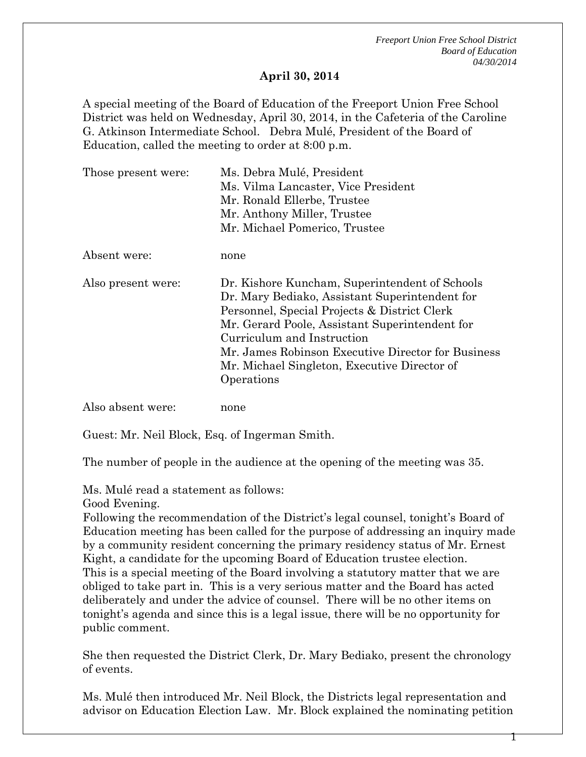*Freeport Union Free School District Board of Education 04/30/2014*

## **April 30, 2014**

A special meeting of the Board of Education of the Freeport Union Free School District was held on Wednesday, April 30, 2014, in the Cafeteria of the Caroline G. Atkinson Intermediate School. Debra Mulé, President of the Board of Education, called the meeting to order at 8:00 p.m.

| Those present were: | Ms. Debra Mulé, President<br>Ms. Vilma Lancaster, Vice President<br>Mr. Ronald Ellerbe, Trustee<br>Mr. Anthony Miller, Trustee<br>Mr. Michael Pomerico, Trustee                                                                                                                                                                                      |
|---------------------|------------------------------------------------------------------------------------------------------------------------------------------------------------------------------------------------------------------------------------------------------------------------------------------------------------------------------------------------------|
| Absent were:        | none                                                                                                                                                                                                                                                                                                                                                 |
| Also present were:  | Dr. Kishore Kuncham, Superintendent of Schools<br>Dr. Mary Bediako, Assistant Superintendent for<br>Personnel, Special Projects & District Clerk<br>Mr. Gerard Poole, Assistant Superintendent for<br>Curriculum and Instruction<br>Mr. James Robinson Executive Director for Business<br>Mr. Michael Singleton, Executive Director of<br>Operations |
| Also absent were:   | none                                                                                                                                                                                                                                                                                                                                                 |

Guest: Mr. Neil Block, Esq. of Ingerman Smith.

The number of people in the audience at the opening of the meeting was 35.

Ms. Mulé read a statement as follows:

Good Evening.

Following the recommendation of the District's legal counsel, tonight's Board of Education meeting has been called for the purpose of addressing an inquiry made by a community resident concerning the primary residency status of Mr. Ernest Kight, a candidate for the upcoming Board of Education trustee election. This is a special meeting of the Board involving a statutory matter that we are obliged to take part in. This is a very serious matter and the Board has acted deliberately and under the advice of counsel. There will be no other items on tonight's agenda and since this is a legal issue, there will be no opportunity for public comment.

She then requested the District Clerk, Dr. Mary Bediako, present the chronology of events.

Ms. Mulé then introduced Mr. Neil Block, the Districts legal representation and advisor on Education Election Law. Mr. Block explained the nominating petition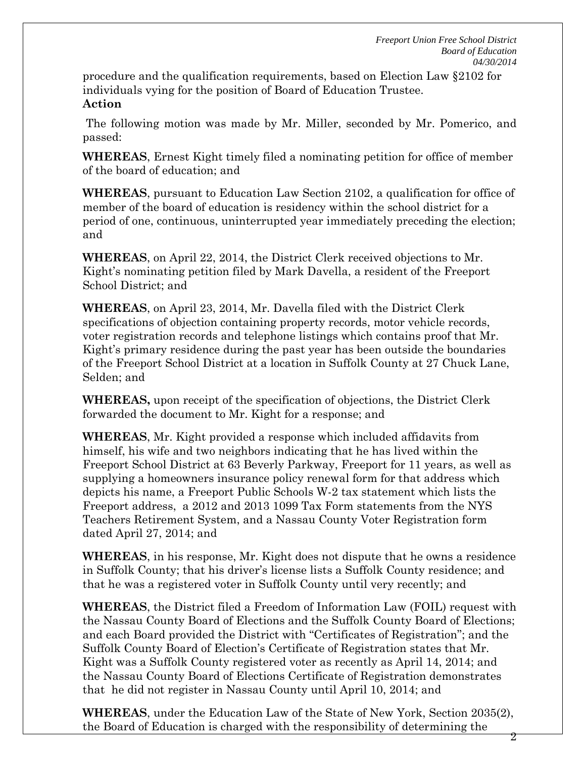2

procedure and the qualification requirements, based on Election Law §2102 for individuals vying for the position of Board of Education Trustee. **Action**

The following motion was made by Mr. Miller, seconded by Mr. Pomerico, and passed:

**WHEREAS**, Ernest Kight timely filed a nominating petition for office of member of the board of education; and

**WHEREAS**, pursuant to Education Law Section 2102, a qualification for office of member of the board of education is residency within the school district for a period of one, continuous, uninterrupted year immediately preceding the election; and

**WHEREAS**, on April 22, 2014, the District Clerk received objections to Mr. Kight's nominating petition filed by Mark Davella, a resident of the Freeport School District; and

**WHEREAS**, on April 23, 2014, Mr. Davella filed with the District Clerk specifications of objection containing property records, motor vehicle records, voter registration records and telephone listings which contains proof that Mr. Kight's primary residence during the past year has been outside the boundaries of the Freeport School District at a location in Suffolk County at 27 Chuck Lane, Selden; and

**WHEREAS,** upon receipt of the specification of objections, the District Clerk forwarded the document to Mr. Kight for a response; and

**WHEREAS**, Mr. Kight provided a response which included affidavits from himself, his wife and two neighbors indicating that he has lived within the Freeport School District at 63 Beverly Parkway, Freeport for 11 years, as well as supplying a homeowners insurance policy renewal form for that address which depicts his name, a Freeport Public Schools W-2 tax statement which lists the Freeport address, a 2012 and 2013 1099 Tax Form statements from the NYS Teachers Retirement System, and a Nassau County Voter Registration form dated April 27, 2014; and

**WHEREAS**, in his response, Mr. Kight does not dispute that he owns a residence in Suffolk County; that his driver's license lists a Suffolk County residence; and that he was a registered voter in Suffolk County until very recently; and

**WHEREAS**, the District filed a Freedom of Information Law (FOIL) request with the Nassau County Board of Elections and the Suffolk County Board of Elections; and each Board provided the District with "Certificates of Registration"; and the Suffolk County Board of Election's Certificate of Registration states that Mr. Kight was a Suffolk County registered voter as recently as April 14, 2014; and the Nassau County Board of Elections Certificate of Registration demonstrates that he did not register in Nassau County until April 10, 2014; and

**WHEREAS**, under the Education Law of the State of New York, Section 2035(2), the Board of Education is charged with the responsibility of determining the